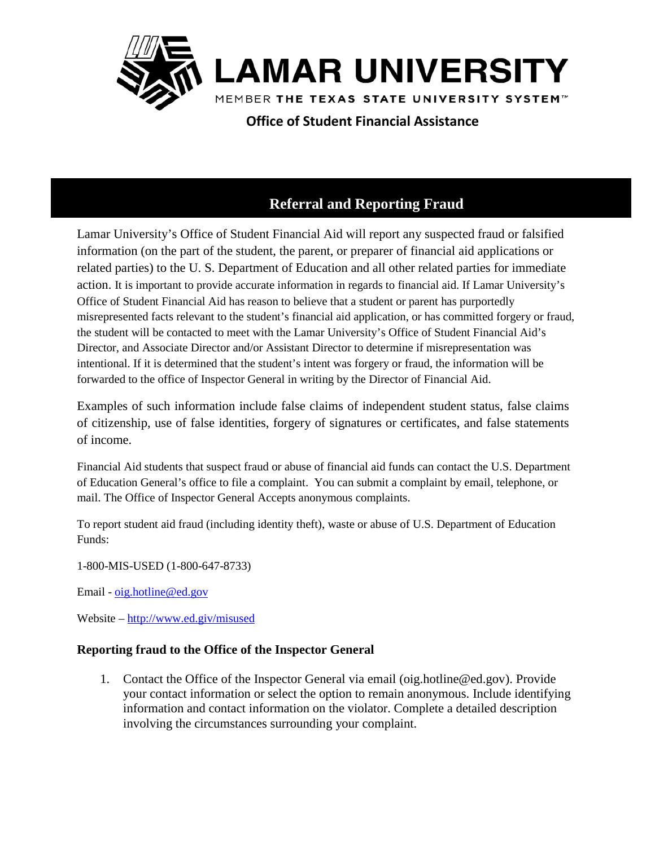

 **Office of Student Financial Assistance** 

# **Referral and Reporting Fraud**

Lamar University's Office of Student Financial Aid will report any suspected fraud or falsified information (on the part of the student, the parent, or preparer of financial aid applications or related parties) to the U. S. Department of Education and all other related parties for immediate action. It is important to provide accurate information in regards to financial aid. If Lamar University's Office of Student Financial Aid has reason to believe that a student or parent has purportedly misrepresented facts relevant to the student's financial aid application, or has committed forgery or fraud, the student will be contacted to meet with the Lamar University's Office of Student Financial Aid's Director, and Associate Director and/or Assistant Director to determine if misrepresentation was intentional. If it is determined that the student's intent was forgery or fraud, the information will be forwarded to the office of Inspector General in writing by the Director of Financial Aid.

Examples of such information include false claims of independent student status, false claims of citizenship, use of false identities, forgery of signatures or certificates, and false statements of income.

Financial Aid students that suspect fraud or abuse of financial aid funds can contact the U.S. Department of Education General's office to file a complaint. You can submit a complaint by email, telephone, or mail. The Office of Inspector General Accepts anonymous complaints.

To report student aid fraud (including identity theft), waste or abuse of U.S. Department of Education Funds:

1-800-MIS-USED (1-800-647-8733)

Email - [oig.hotline@ed.gov](mailto:oig.hotline@ed.gov)

Website – <http://www.ed.giv/misused>

## **Reporting fraud to the Office of the Inspector General**

1. Contact the Office of the Inspector General via email (oig.hotline@ed.gov). Provide your contact information or select the option to remain anonymous. Include identifying information and contact information on the violator. Complete a detailed description involving the circumstances surrounding your complaint.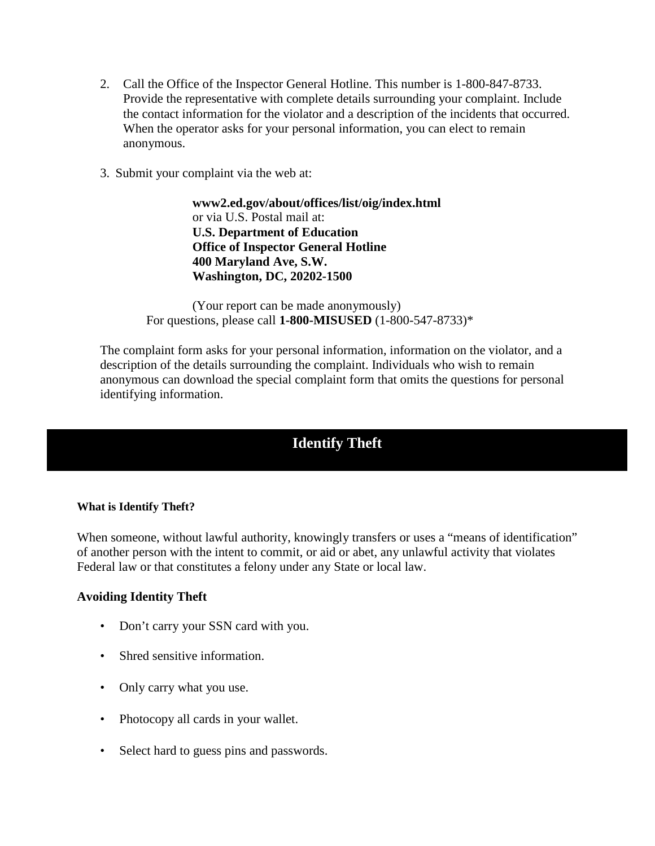- 2. Call the Office of the Inspector General Hotline. This number is 1-800-847-8733. Provide the representative with complete details surrounding your complaint. Include the contact information for the violator and a description of the incidents that occurred. When the operator asks for your personal information, you can elect to remain anonymous.
- 3. Submit your complaint via the web at:

**www2.ed.gov/about/offices/list/oig/index.html**  or via U.S. Postal mail at: **U.S. Department of Education Office of Inspector General Hotline 400 Maryland Ave, S.W. Washington, DC, 20202-1500** 

(Your report can be made anonymously) For questions, please call **1-800-MISUSED** (1-800-547-8733)\*

The complaint form asks for your personal information, information on the violator, and a description of the details surrounding the complaint. Individuals who wish to remain anonymous can download the special complaint form that omits the questions for personal identifying information.

# **Identify Theft**

#### **What is Identify Theft?**

When someone, without lawful authority, knowingly transfers or uses a "means of identification" of another person with the intent to commit, or aid or abet, any unlawful activity that violates Federal law or that constitutes a felony under any State or local law.

#### **Avoiding Identity Theft**

- Don't carry your SSN card with you.
- Shred sensitive information.
- Only carry what you use.
- Photocopy all cards in your wallet.
- Select hard to guess pins and passwords.